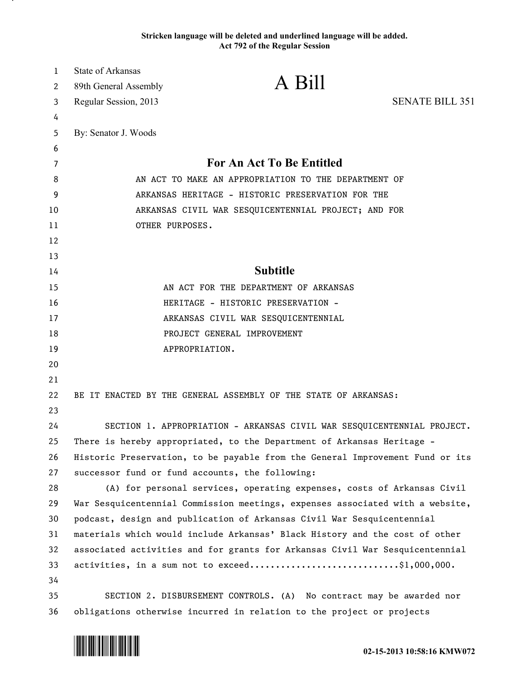## **Stricken language will be deleted and underlined language will be added. Act 792 of the Regular Session**

| $\mathbf{1}$ | <b>State of Arkansas</b>                                                     |                                                                               |                        |
|--------------|------------------------------------------------------------------------------|-------------------------------------------------------------------------------|------------------------|
| 2            | 89th General Assembly                                                        | A Bill                                                                        |                        |
| 3            | Regular Session, 2013                                                        |                                                                               | <b>SENATE BILL 351</b> |
| 4            |                                                                              |                                                                               |                        |
| 5            | By: Senator J. Woods                                                         |                                                                               |                        |
| 6            |                                                                              |                                                                               |                        |
| 7            | <b>For An Act To Be Entitled</b>                                             |                                                                               |                        |
| 8            | AN ACT TO MAKE AN APPROPRIATION TO THE DEPARTMENT OF                         |                                                                               |                        |
| 9            | ARKANSAS HERITAGE - HISTORIC PRESERVATION FOR THE                            |                                                                               |                        |
| 10           | ARKANSAS CIVIL WAR SESQUICENTENNIAL PROJECT; AND FOR                         |                                                                               |                        |
| 11           | OTHER PURPOSES.                                                              |                                                                               |                        |
| 12           |                                                                              |                                                                               |                        |
| 13           |                                                                              |                                                                               |                        |
| 14           | <b>Subtitle</b>                                                              |                                                                               |                        |
| 15           |                                                                              | AN ACT FOR THE DEPARTMENT OF ARKANSAS                                         |                        |
| 16           |                                                                              | HERITAGE - HISTORIC PRESERVATION -                                            |                        |
| 17           |                                                                              | ARKANSAS CIVIL WAR SESQUICENTENNIAL                                           |                        |
| 18           |                                                                              | PROJECT GENERAL IMPROVEMENT                                                   |                        |
| 19           |                                                                              | APPROPRIATION.                                                                |                        |
| 20           |                                                                              |                                                                               |                        |
| 21           |                                                                              |                                                                               |                        |
| 22           |                                                                              | BE IT ENACTED BY THE GENERAL ASSEMBLY OF THE STATE OF ARKANSAS:               |                        |
| 23           |                                                                              |                                                                               |                        |
| 24           |                                                                              | SECTION 1. APPROPRIATION - ARKANSAS CIVIL WAR SESQUICENTENNIAL PROJECT.       |                        |
| 25           |                                                                              | There is hereby appropriated, to the Department of Arkansas Heritage -        |                        |
| 26           |                                                                              | Historic Preservation, to be payable from the General Improvement Fund or its |                        |
| 27           |                                                                              | successor fund or fund accounts, the following:                               |                        |
| 28           |                                                                              | (A) for personal services, operating expenses, costs of Arkansas Civil        |                        |
| 29           |                                                                              | War Sesquicentennial Commission meetings, expenses associated with a website, |                        |
| 30           |                                                                              | podcast, design and publication of Arkansas Civil War Sesquicentennial        |                        |
| 31           |                                                                              | materials which would include Arkansas' Black History and the cost of other   |                        |
| 32           | associated activities and for grants for Arkansas Civil War Sesquicentennial |                                                                               |                        |
| 33           |                                                                              | activities, in a sum not to exceed\$1,000,000.                                |                        |
| 34           |                                                                              |                                                                               |                        |
| 35           |                                                                              | SECTION 2. DISBURSEMENT CONTROLS. (A) No contract may be awarded nor          |                        |
| 36           |                                                                              | obligations otherwise incurred in relation to the project or projects         |                        |



.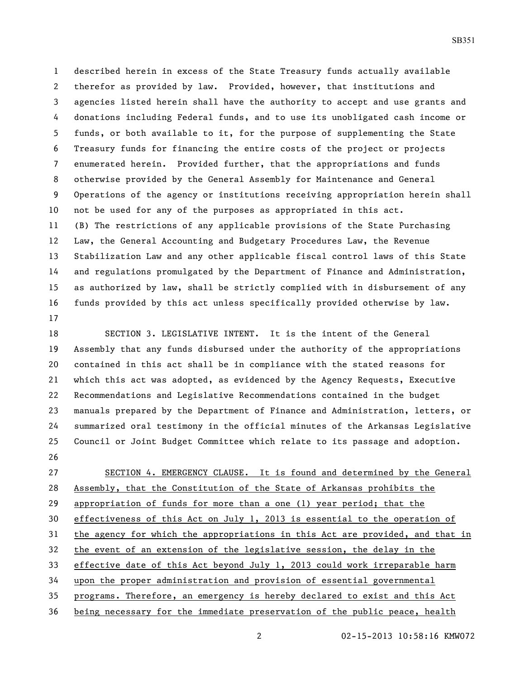described herein in excess of the State Treasury funds actually available therefor as provided by law. Provided, however, that institutions and agencies listed herein shall have the authority to accept and use grants and donations including Federal funds, and to use its unobligated cash income or funds, or both available to it, for the purpose of supplementing the State Treasury funds for financing the entire costs of the project or projects enumerated herein. Provided further, that the appropriations and funds otherwise provided by the General Assembly for Maintenance and General Operations of the agency or institutions receiving appropriation herein shall not be used for any of the purposes as appropriated in this act. (B) The restrictions of any applicable provisions of the State Purchasing Law, the General Accounting and Budgetary Procedures Law, the Revenue Stabilization Law and any other applicable fiscal control laws of this State and regulations promulgated by the Department of Finance and Administration, as authorized by law, shall be strictly complied with in disbursement of any funds provided by this act unless specifically provided otherwise by law. 

 SECTION 3. LEGISLATIVE INTENT. It is the intent of the General Assembly that any funds disbursed under the authority of the appropriations contained in this act shall be in compliance with the stated reasons for which this act was adopted, as evidenced by the Agency Requests, Executive Recommendations and Legislative Recommendations contained in the budget manuals prepared by the Department of Finance and Administration, letters, or summarized oral testimony in the official minutes of the Arkansas Legislative Council or Joint Budget Committee which relate to its passage and adoption. 

 SECTION 4. EMERGENCY CLAUSE. It is found and determined by the General Assembly, that the Constitution of the State of Arkansas prohibits the appropriation of funds for more than a one (1) year period; that the effectiveness of this Act on July 1, 2013 is essential to the operation of the agency for which the appropriations in this Act are provided, and that in the event of an extension of the legislative session, the delay in the effective date of this Act beyond July 1, 2013 could work irreparable harm upon the proper administration and provision of essential governmental programs. Therefore, an emergency is hereby declared to exist and this Act being necessary for the immediate preservation of the public peace, health

02-15-2013 10:58:16 KMW072